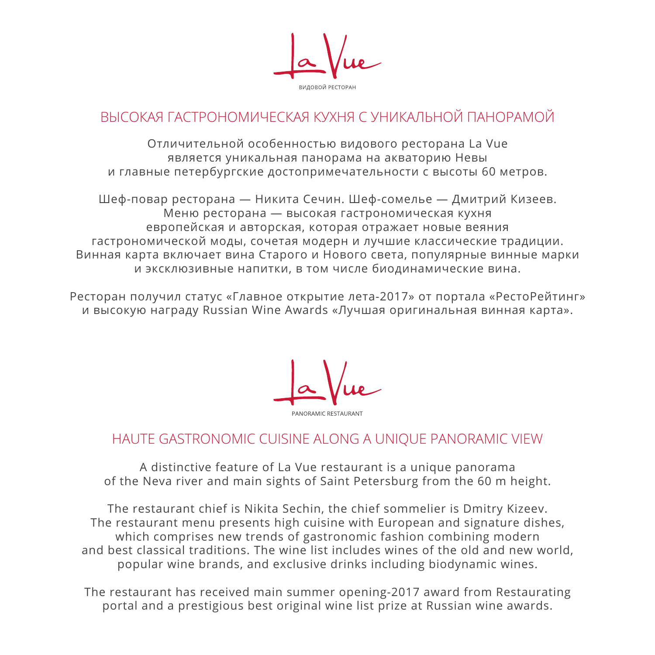# ВЫСОКАЯ ГАСТРОНОМИЧЕСКАЯ КУХНЯ С УНИКАЛЬНОЙ ПАНОРАМОЙ

Отличительной особенностью видового ресторана La Vue является уникальная панорама на акваторию Невы и главные петербургские достопримечательности с высоты 60 метров.

Шеф-повар ресторана — Никита Сечин. Шеф-сомелье — Дмитрий Кизеев. Меню ресторана — высокая гастрономическая кухня европейская и авторская, которая отражает новые веяния гастрономической моды, сочетая модерн и лучшие классические традиции. Винная карта включает вина Старого и Нового света, популярные винные марки и эксклюзивные напитки, в том числе биодинамические вина.

Ресторан получил статус «Главное открытие лета-2017» от портала «РестоРейтинг» и высокую награду Russian Wine Awards «Лучшая оригинальная винная карта».

## HAUTE GASTRONOMIC CUISINE ALONG A UNIQUE PANORAMIC VIEW

A distinctive feature of La Vue restaurant is a unique panorama of the Neva river and main sights of Saint Petersburg from the 60 m height.

The restaurant chief is Nikita Sechin, the chief sommelier is Dmitry Kizeev. The restaurant menu presents high cuisine with European and signature dishes, which comprises new trends of gastronomic fashion combining modern and best classical traditions. The wine list includes wines of the old and new world, popular wine brands, and exclusive drinks including biodynamic wines.

The restaurant has received main summer opening-2017 award from Restaurating portal and a prestigious best original wine list prize at Russian wine awards.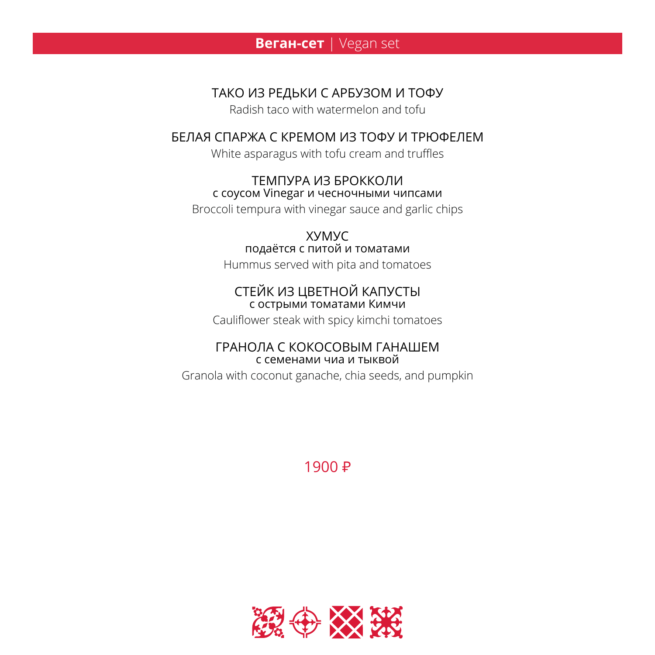### **BeraH-cet** | Vegan set

### ТАКО ИЗ РЕДЬКИ С АРБУЗОМ И ТОФУ

Radish taco with watermelon and toful

### **БЕЛАЯ СПАРЖА С КРЕМОМ ИЗ ТОФУ И ТРЮФЕЛЕМ**

White asparagus with tofu cream and truffles

#### ТЕМПУРА ИЗ БРОККОЛИ с соусом Vinegar и чесночными чипсами

Broccoli tempura with vinegar sauce and garlic chips

#### **XYMYC** подаётся с питой и томатами

Hummus served with pita and tomatoes

#### СТЕЙК ИЗ ЦВЕТНОЙ КАПУСТЫ с острыми томатами Кимчи

Cauliflower steak with spicy kimchi tomatoes

#### ГРАНОЛА С КОКОСОВЫМ ГАНАШЕМ с семенами чиа и тыквой

Granola with coconut ganache, chia seeds, and pumpkin

# 1900 ₽

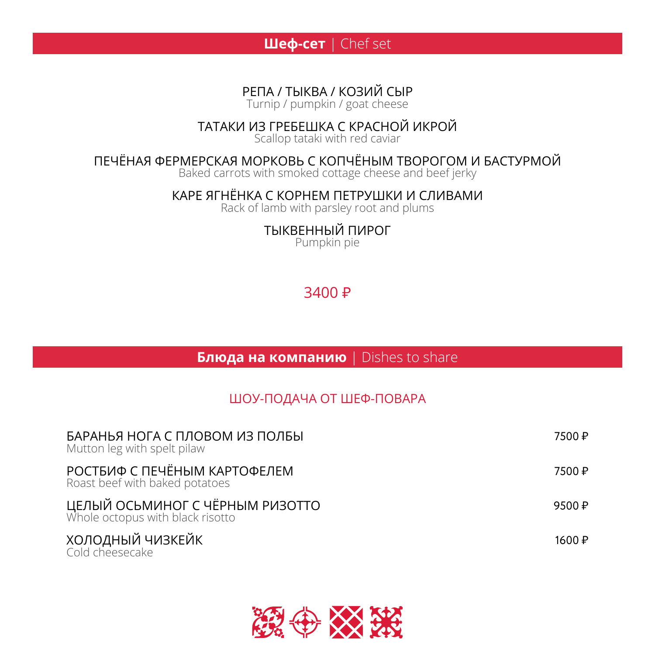

РЕПА / ТЫКВА / КОЗИЙ СЫР

Turnip / pumpkin / goat cheese

## ТАТАКИ ИЗ ГРЕБЕШКА С КРАСНОЙ ИКРОЙ

Scallop tataki with red caviar

### ПЕЧЁНАЯ ФЕРМЕРСКАЯ МОРКОВЬ С КОПЧЁНЫМ ТВОРОГОМ И БАСТУРМОЙ

Baked carrots with smoked cottage cheese and beef jerky

КАРЕ ЯГНЁНКА С КОРНЕМ ПЕТРУШКИ И СЛИВАМИ

Rack of lamb with parsley root and plums

ТЫКВЕННЫЙ ПИРОГ Pumpkin pie

# $3400 \text{ P}$

**Блюда на компанию** | Dishes to share

## ШОУ-ПОДАЧА ОТ ШЕФ-ПОВАРА

| БАРАНЬЯ НОГА С ПЛОВОМ ИЗ ПОЛБЫ<br>Mutton leg with spelt pilaw       | 7500 ₽              |
|---------------------------------------------------------------------|---------------------|
| РОСТБИФ С ПЕЧЁНЫМ КАРТОФЕЛЕМ<br>Roast beef with baked potatoes      | 7500 ₽              |
| ЦЕЛЫЙ ОСЬМИНОГ С ЧЁРНЫМ РИЗОТТО<br>Whole octopus with black risotto | 9500 $\sqrt{P}$     |
| ХОЛОДНЫЙ ЧИЗКЕЙК<br>Cold cheesecake                                 | 1600 $\overline{P}$ |

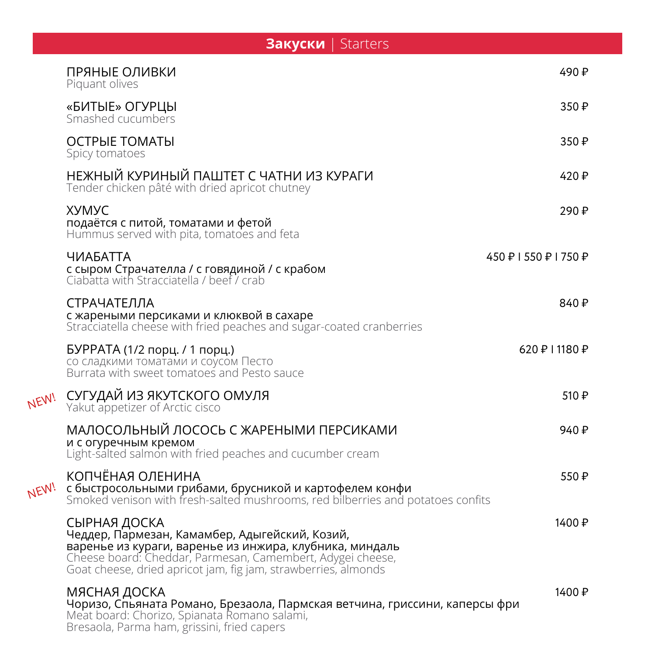|      | <b>Закуски</b>   Starters                                                                                                                                                                                                                                 |                       |
|------|-----------------------------------------------------------------------------------------------------------------------------------------------------------------------------------------------------------------------------------------------------------|-----------------------|
|      | ПРЯНЫЕ ОЛИВКИ<br>Piquant olives                                                                                                                                                                                                                           | 490₽                  |
|      | «БИТЫЕ» ОГУРЦЫ<br>Smashed cucumbers                                                                                                                                                                                                                       | 350 ₽                 |
|      | ОСТРЫЕ ТОМАТЫ<br>Spicy tomatoes                                                                                                                                                                                                                           | 350 ₽                 |
|      | НЕЖНЫЙ КУРИНЫЙ ПАШТЕТ С ЧАТНИ ИЗ КУРАГИ<br>Tender chicken pâté with dried apricot chutney                                                                                                                                                                 | 420 ₽                 |
|      | <b>XYMYC</b><br>подаётся с питой, томатами и фетой<br>Hummus served with pita, tomatoes and feta                                                                                                                                                          | 290₽                  |
|      | <b>ЧИАБАТТА</b><br>с сыром Страчателла / с говядиной / с крабом<br>Ciabatta with Stracciatella / beef / crab                                                                                                                                              | 450 P   550 P   750 P |
|      | СТРАЧАТЕЛЛА<br>с жареными персиками и клюквой в сахаре<br>Stracciatella cheese with fried peaches and sugar-coated cranberries                                                                                                                            | 840 ₽                 |
|      | БУРРАТА (1/2 порц. / 1 порц.)<br>со сладкими томатами и соусом Песто<br>Burrata with sweet tomatoes and Pesto sauce                                                                                                                                       | 620 ₽   1180 ₽        |
| NEW! | СУГУДАЙ ИЗ ЯКУТСКОГО ОМУЛЯ<br>Yakut appetizer of Arctic cisco                                                                                                                                                                                             | 510 ₽                 |
|      | МАЛОСОЛЬНЫЙ ЛОСОСЬ С ЖАРЕНЫМИ ПЕРСИКАМИ<br>и с огуречным кремом<br>Light-salted salmon with fried peaches and cucumber cream                                                                                                                              | 940 ₽                 |
| NEW! | КОПЧЁНАЯ ОЛЕНИНА<br>с быстросольными грибами, брусникой и картофелем конфи<br>Smoked venison with fresh-salted mushrooms, red bilberries and potatoes confits                                                                                             | 550₽                  |
|      | СЫРНАЯ ДОСКА<br>Чеддер, Пармезан, Камамбер, Адыгейский, Козий,<br>варенье из кураги, варенье из инжира, клубника, миндаль<br>Cheese board: Cheddar, Parmesan, Camembert, Adygei cheese,<br>Goat cheese, dried apricot jam, fig jam, strawberries, almonds | 1400 ₽                |
|      | МЯСНАЯ ДОСКА<br>Чоризо, Спьяната Романо, Брезаола, Пармская ветчина, гриссини, каперсы фри<br>Meat board: Chorizo, Spianata Romano salami,<br>Bresaola, Parma ham, grissini, fried capers                                                                 | 1400 ₽                |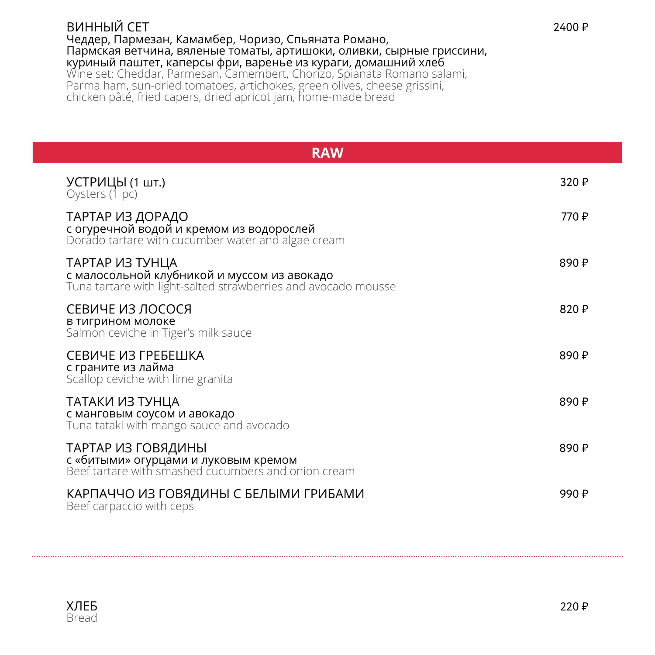#### ВИННЫЙ СЕТ Чеддер, Пармезан, Камамбер, Чоризо, Спьяната Романо, Пармская ветчина, вяленые томаты, артишоки, оливки, сырные гриссини, куриный паштет, каперсы фри, варенье из кураги, домашний хлеб Wine set: Cheddar, Parmesan, Camembert, Chorizo, Spianata Romano salami, Parma ham, sun-dried tomatoes, artichokes, green olives, cheese grissini, chicken pâté, fried capers, dried apricot jam, home-made bread

| <b>RAW</b>                                                                                                                       |                  |
|----------------------------------------------------------------------------------------------------------------------------------|------------------|
| УСТРИЦЫ (1 шт.)<br>Oysters (1 pc)                                                                                                | 320 $\downarrow$ |
| ТАРТАР ИЗ ДОРАДО<br>с огуречной водой и кремом из водорослей<br>Dorado tartare with cucumber water and algae cream               | 770 ₽            |
| ТАРТАР ИЗ ТУНЦА<br>с малосольной клубникой и муссом из авокадо<br>Tuna tartare with light-salted strawberries and avocado mousse | 890 ₽            |
| СЕВИЧЕ ИЗ ЛОСОСЯ<br>в тигрином молоке<br>Salmon ceviche in Tiger's milk sauce                                                    | 820 ₽            |
| СЕВИЧЕ ИЗ ГРЕБЕШКА<br>с граните из лайма<br>Scallop ceviche with lime granita                                                    | 890 ₽            |
| ТАТАКИ ИЗ ТУНЦА<br>с манговым соусом и авокадо<br>Tuna tataki with mango sauce and avocado                                       | 890 ₽            |
| ТАРТАР ИЗ ГОВЯДИНЫ<br>с «битыми» огурцами и луковым кремом<br>Beef tartare with smashed cucumbers and onion cream                | 890 ₽            |
| КАРПАЧЧО ИЗ ГОВЯДИНЫ С БЕЛЫМИ ГРИБАМИ<br>Beef carpaccio with ceps                                                                | 990 ₽            |



 $2400 \text{ P}$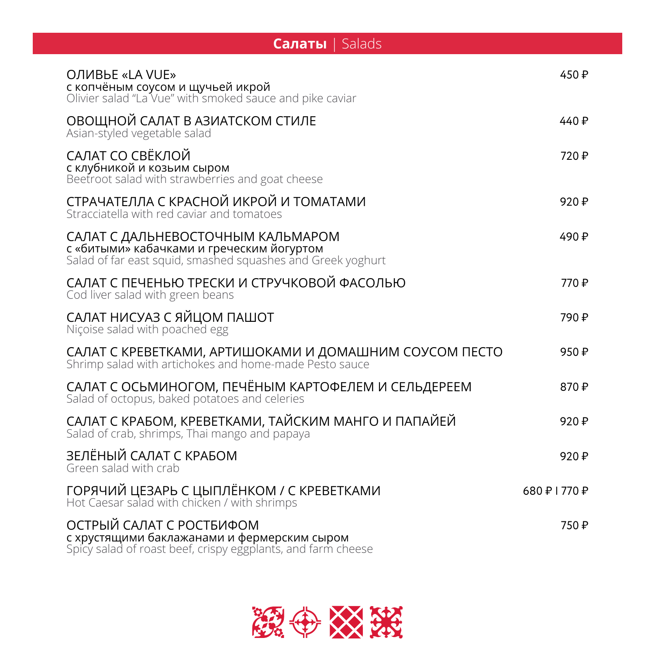| Salads<br>Салаты                                                                                                                              |               |  |
|-----------------------------------------------------------------------------------------------------------------------------------------------|---------------|--|
| ОЛИВЬЕ «LA VUE»<br>с копчёным соусом и щучьей икрой<br>Olivier salad "La Vue" with smoked sauce and pike caviar                               | 450₽          |  |
| ОВОЩНОЙ САЛАТ В АЗИАТСКОМ СТИЛЕ<br>Asian-styled vegetable salad                                                                               | 440 $P$       |  |
| САЛАТ СО СВЁКЛОЙ<br>с клубникой и козьим сыром<br>Beetroot salad with strawberries and goat cheese                                            | 720 ₽         |  |
| СТРАЧАТЕЛЛА С КРАСНОЙ ИКРОЙ И ТОМАТАМИ<br>Stracciatella with red caviar and tomatoes                                                          | 920 ₽         |  |
| САЛАТ С ДАЛЬНЕВОСТОЧНЫМ КАЛЬМАРОМ<br>с «битыми» кабачками и греческим йогуртом<br>Salad of far east squid, smashed squashes and Greek yoghurt | 490 ₽         |  |
| САЛАТ С ПЕЧЕНЬЮ ТРЕСКИ И СТРУЧКОВОЙ ФАСОЛЬЮ<br>Cod liver salad with green beans                                                               | 770₽          |  |
| САЛАТ НИСУАЗ С ЯЙЦОМ ПАШОТ<br>Niçoise salad with poached egg                                                                                  | 790 ₽         |  |
| САЛАТ С КРЕВЕТКАМИ, АРТИШОКАМИ И ДОМАШНИМ СОУСОМ ПЕСТО<br>Shrimp salad with artichokes and home-made Pesto sauce                              | 950₽          |  |
| САЛАТ С ОСЬМИНОГОМ, ПЕЧЁНЫМ КАРТОФЕЛЕМ И СЕЛЬДЕРЕЕМ<br>Salad of octopus, baked potatoes and celeries                                          | 870₽          |  |
| САЛАТ С КРАБОМ, КРЕВЕТКАМИ, ТАЙСКИМ МАНГО И ПАПАЙЕЙ<br>Salad of crab, shrimps, Thai mango and papaya                                          | 920₽          |  |
| ЗЕЛЁНЫЙ САЛАТ С КРАБОМ<br>Green salad with crab                                                                                               | 920₽          |  |
| ГОРЯЧИЙ ЦЕЗАРЬ С ЦЫПЛЁНКОМ / С КРЕВЕТКАМИ<br>Hot Caesar salad with chicken / with shrimps                                                     | 680 ₽   770 ₽ |  |
| ОСТРЫЙ САЛАТ С РОСТБИФОМ<br>с хрустящими баклажанами и фермерским сыром<br>Spicy salad of roast beef, crispy eggplants, and farm cheese       | 750 ₽         |  |

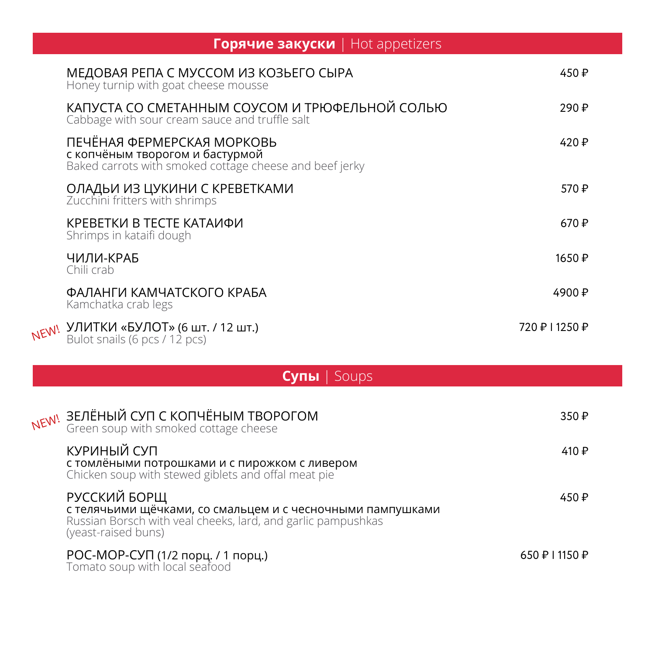| <b>Горячие закуски</b>   Hot appetizers                                                                                  |                |  |
|--------------------------------------------------------------------------------------------------------------------------|----------------|--|
| МЕДОВАЯ РЕПА С МУССОМ ИЗ КОЗЬЕГО СЫРА<br>Honey turnip with goat cheese mousse                                            | 450 ₽          |  |
| КАПУСТА СО СМЕТАННЫМ СОУСОМ И ТРЮФЕЛЬНОЙ СОЛЬЮ<br>Cabbage with sour cream sauce and truffle salt                         | 290₽           |  |
| ПЕЧЁНАЯ ФЕРМЕРСКАЯ МОРКОВЬ<br>с копчёным творогом и бастурмой<br>Baked carrots with smoked cottage cheese and beef jerky | 420 $P$        |  |
| ОЛАДЬИ ИЗ ЦУКИНИ С КРЕВЕТКАМИ<br>Zucchini fritters with shrimps                                                          | 570 ₽          |  |
| КРЕВЕТКИ В ТЕСТЕ КАТАИФИ<br>Shrimps in kataifi dough                                                                     | 670 $\text{P}$ |  |
| ЧИЛИ-КРАБ<br>Chili crab                                                                                                  | 1650 ₽         |  |
| ФАЛАНГИ КАМЧАТСКОГО КРАБА<br>Kamchatka crab legs                                                                         | 4900 ₽         |  |
| NEW! УЛИТКИ «БУЛОТ» (6 шт. / 12 шт.)<br>Bulot snails (6 pcs / 12 pcs)                                                    | 720 ₽   1250 ₽ |  |

|      | Cynы Soups                                                                                                                                                        |                |
|------|-------------------------------------------------------------------------------------------------------------------------------------------------------------------|----------------|
| NEW! | ЗЕЛЁНЫЙ СУП С КОПЧЁНЫМ ТВОРОГОМ<br>Green soup with smoked cottage cheese                                                                                          | 350 $\text{P}$ |
|      | КУРИНЫЙ СУП<br><b>с томлёными потрошками и с пирожком с ливером</b><br>Chicken soup with stewed giblets and offal meat pie                                        | 410 ₽          |
|      | РУССКИЙ БОРЩ<br>с телячьими щёчками, со смальцем и с чесночными пампушками<br>Russian Borsch with veal cheeks, lard, and garlic pampushkas<br>(yeast-raised buns) | 450 ₽          |
|      |                                                                                                                                                                   |                |

| РОС-МОР-СУП (1/2 порц. / 1 порц.) | 650 ₽ I 1150 ₽ |
|-----------------------------------|----------------|
| Tomato soup with local seafood    |                |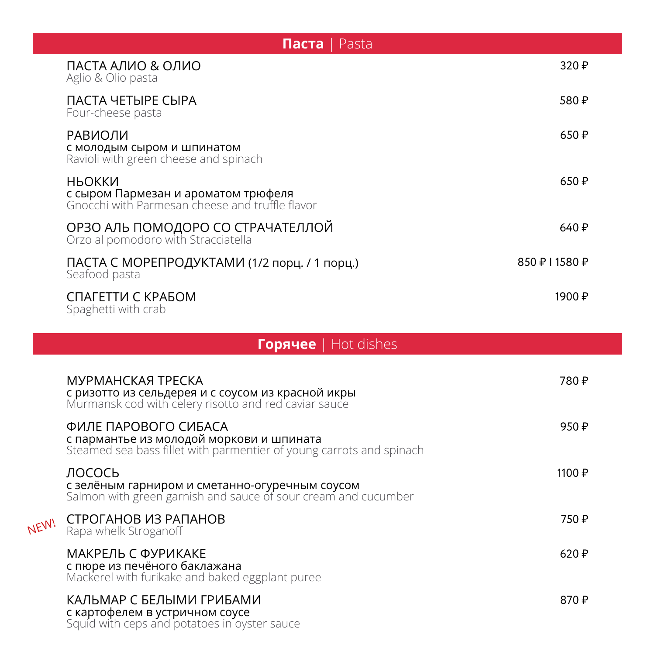| Паста<br>Pasta                                                                                   |                  |  |
|--------------------------------------------------------------------------------------------------|------------------|--|
| ПАСТА АЛИО & ОЛИО<br>Aglio & Olio pasta                                                          | 320P             |  |
| ПАСТА ЧЕТЫРЕ СЫРА<br>Four-cheese pasta                                                           | 580₽             |  |
| РАВИОЛИ<br>с молодым сыром и шпинатом<br>Ravioli with green cheese and spinach                   | 650 $\textsf{P}$ |  |
| НЬОККИ<br>с сыром Пармезан и ароматом трюфеля<br>Gnocchi with Parmesan cheese and truffle flavor | 650 $\textsf{P}$ |  |
| ОРЗО АЛЬ ПОМОДОРО СО СТРАЧАТЕЛЛОЙ<br>Orzo al pomodoro with Stracciatella                         | 640 ₽            |  |
| ПАСТА С МОРЕПРОДУКТАМИ (1/2 порц. / 1 порц.)<br>Seafood pasta                                    | 850 ₽   1580 ₽   |  |
| СПАГЕТТИ С КРАБОМ<br>Spaghetti with crab                                                         | 1900 ₽           |  |

|      | <b>Горячее</b>   Hot dishes                                                                                                              |        |
|------|------------------------------------------------------------------------------------------------------------------------------------------|--------|
|      | МУРМАНСКАЯ ТРЕСКА<br>с ризотто из сельдерея и с соусом из красной икры<br>Murmansk cod with celery risotto and red caviar sauce          | 780₽   |
|      | ФИЛЕ ПАРОВОГО СИБАСА<br>с пармантье из молодой моркови и шпината<br>Steamed sea bass fillet with parmentier of young carrots and spinach | 950 ₽  |
|      | ЛОСОСЬ<br>с зелёным гарниром и сметанно-огуречным соусом<br>Salmon with green garnish and sauce of sour cream and cucumber               | 1100 ₽ |
| NEW! | СТРОГАНОВ ИЗ РАПАНОВ<br>Rapa whelk Stroganoff                                                                                            | 750 ₽  |
|      | МАКРЕЛЬ С ФУРИКАКЕ<br>с пюре из печёного баклажана<br>Mackerel with furikake and baked eggplant puree                                    | 620 ₽  |
|      | КАЛЬМАР С БЕЛЫМИ ГРИБАМИ<br>с картофелем в устричном соусе<br>Squid with ceps and potatoes in oyster sauce                               | 870 ₽  |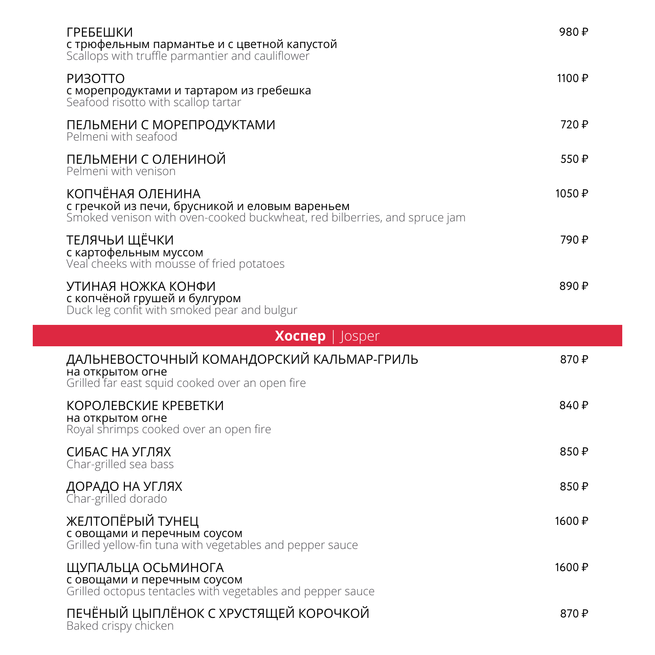| ГРЕБЕШКИ<br>с трюфельным пармантье и с цветной капустой<br>Scallops with truffle parmantier and cauliflower                                     | 980₽   |  |
|-------------------------------------------------------------------------------------------------------------------------------------------------|--------|--|
| P <sub>M</sub> 30TTO<br>с морепродуктами и тартаром из гребешка<br>Seafood risotto with scallop tartar                                          | 1100 ₽ |  |
| ПЕЛЬМЕНИ С МОРЕПРОДУКТАМИ<br>Pelmeni with seafood                                                                                               | 720 ₽  |  |
| ПЕЛЬМЕНИ С ОЛЕНИНОЙ<br>Pelmeni with venison                                                                                                     | 550₽   |  |
| КОПЧЁНАЯ ОЛЕНИНА<br>с гречкой из печи, брусникой и еловым вареньем<br>Smoked venison with oven-cooked buckwheat, red bilberries, and spruce jam | 1050 ₽ |  |
| ТЕЛЯЧЬИ ЩЁЧКИ<br>с картофельным муссом<br>Veal cheeks with mousse of fried potatoes                                                             | 790 ₽  |  |
| УТИНАЯ НОЖКА КОНФИ<br>с копчёной грушей и булгуром<br>Duck leg confit with smoked pear and bulgur                                               | 890 ₽  |  |
| <b>Xocnep</b>   Josper                                                                                                                          |        |  |
| ДАЛЬНЕВОСТОЧНЫЙ КОМАНДОРСКИЙ КАЛЬМАР-ГРИЛЬ<br>на открытом огне<br>Grilled far east squid cooked over an open fire                               | 870 ₽  |  |
| КОРОЛЕВСКИЕ КРЕВЕТКИ<br>на открытом огне<br>Royal shrimps cooked over an open fire                                                              | 840 ₽  |  |
| СИБАС НА УГЛЯХ<br>Char-grilled sea bass                                                                                                         | 850₽   |  |
| ДОРАДО НА УГЛЯХ<br>Char-grilled dorado                                                                                                          | 850 ₽  |  |
| ЖЕЛТОПЁРЫЙ ТУНЕЦ<br>с овощами и перечным соусом<br>Grilled yellow-fin tuna with vegetables and pepper sauce                                     | 1600 ₽ |  |
| ЩУПАЛЬЦА ОСЬМИНОГА<br>с овощами и перечным соусом                                                                                               | 1600 ₽ |  |

870 ₽

Grilled octopus tentacles with vegetables and pepper sauce

# ПЕЧЕНЫИ ЦЫПЛЕНОК С ХРУСТЯЩЕИ КОРОЧКОИ

Baked crispy chicken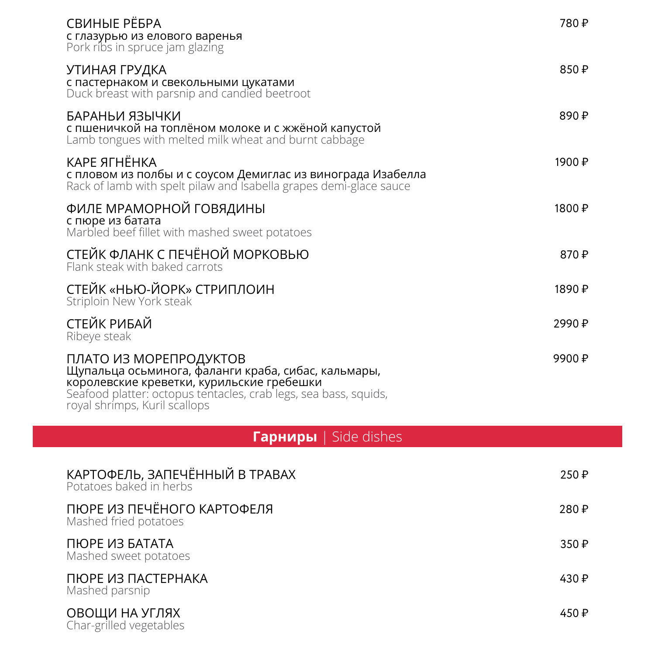| СВИНЫЕ РЁБРА<br>с глазурью из елового варенья<br>Pork ribs in spruce jam glazing                                                                                                                                                | 780₽   |
|---------------------------------------------------------------------------------------------------------------------------------------------------------------------------------------------------------------------------------|--------|
| УТИНАЯ ГРУДКА<br>с пастернаком и свекольными цукатами<br>Duck breast with parsnip and candied beetroot                                                                                                                          | 850₽   |
| БАРАНЬИ ЯЗЫЧКИ<br>с пшеничкой на топлёном молоке и с жжёной капустой<br>Lamb tongues with melted milk wheat and burnt cabbage                                                                                                   | 890 ₽  |
| КАРЕ ЯГНЁНКА<br>с пловом из полбы и с соусом Демиглас из винограда Изабелла<br>Rack of lamb with spelt pilaw and Isabella grapes demi-glace sauce                                                                               | 1900 ₽ |
| ФИЛЕ МРАМОРНОЙ ГОВЯДИНЫ<br>с пюре из батата<br>Marbled beef fillet with mashed sweet potatoes                                                                                                                                   | 1800 ₽ |
| СТЕЙК ФЛАНК С ПЕЧЁНОЙ МОРКОВЬЮ<br>Flank steak with baked carrots                                                                                                                                                                | 870 ₽  |
| СТЕЙК «НЬЮ-ЙОРК» СТРИПЛОИН<br>Striploin New York steak                                                                                                                                                                          | 1890 ₽ |
| СТЕЙК РИБАЙ<br>Ribeye steak                                                                                                                                                                                                     | 2990 ₽ |
| ПЛАТО ИЗ МОРЕПРОДУКТОВ<br>Щупальца осьминога, фаланги краба, сибас, кальмары,<br>королевские креветки, курильские гребешки<br>Seafood platter: octopus tentacles, crab legs, sea bass, squids,<br>royal shrimps, Kuril scallops | 9900 ₽ |
| <b>Гарниры</b>   Side dishes                                                                                                                                                                                                    |        |
| КАРТОФЕЛЬ, ЗАПЕЧЁННЫЙ В ТРАВАХ<br>Potatoes baked in herbs                                                                                                                                                                       | 250 ₽  |
| ПЮРЕ ИЗ ПЕЧЁНОГО КАРТОФЕЛЯ<br>Mashed fried potatoes                                                                                                                                                                             | 280₽   |
| ПЮРЕ ИЗ БАТАТА<br>Mashed sweet potatoes                                                                                                                                                                                         | 350 ₽  |
| ПЮРЕ ИЗ ПАСТЕРНАКА<br>Mashed parsnip                                                                                                                                                                                            | 430₽   |
| ОВОЩИ НА УГЛЯХ<br>Char-grilled vegetables                                                                                                                                                                                       | 450 ₽  |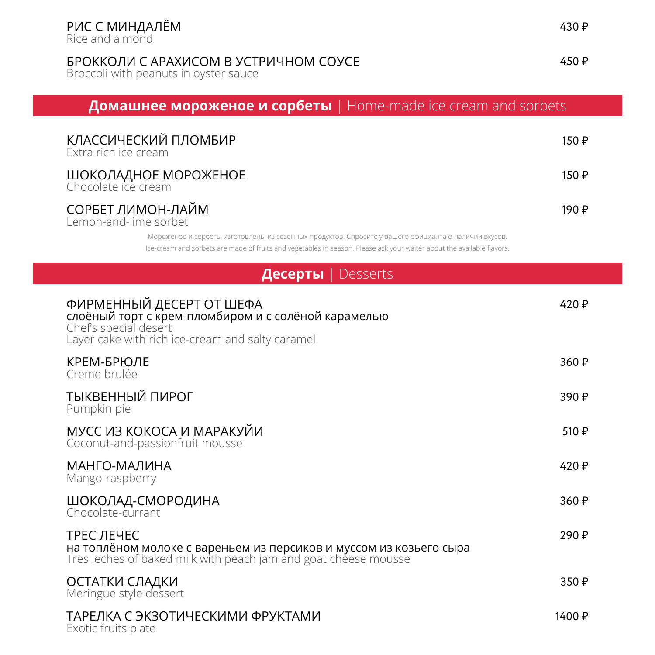Rice and almond

## БРОККОЛИ С АРАХИСОМ В УСТРИЧНОМ СОУСЕ

Broccoli with peanuts in oyster sauce

 $450 \text{ P}$ 

# **Домашнее мороженое и сорбеты** | Home-made ice cream and sorbets

| КЛАССИЧЕСКИЙ ПЛОМБИР<br>Extra rich ice cream | 150 ₽ |
|----------------------------------------------|-------|
| ШОКОЛАДНОЕ МОРОЖЕНОЕ<br>Chocolate ice cream  | 150 ₽ |
| СОРБЕТ ЛИМОН-ЛАЙМ<br>Lemon-and-lime sorbet   | 190 ₽ |

Мороженое и сорбеты изготовлены из сезонных продуктов. Спросите у вашего официанта о наличии вкусов. Ice-cream and sorbets are made of fruits and vegetables in season. Please ask your waiter about the available flavors.

| Десерты<br>Desserts                                                                                                                                          |                |
|--------------------------------------------------------------------------------------------------------------------------------------------------------------|----------------|
| ФИРМЕННЫЙ ДЕСЕРТ ОТ ШЕФА<br>слоёный торт с крем-пломбиром и с солёной карамелью<br>Chef's special desert<br>Layer cake with rich ice-cream and salty caramel | 420 ₽          |
| КРЕМ-БРЮЛЕ<br>Creme brulée                                                                                                                                   | 360 ₽          |
| ТЫКВЕННЫЙ ПИРОГ<br>Pumpkin pie                                                                                                                               | 390 ₽          |
| МУСС ИЗ КОКОСА И МАРАКУЙИ<br>Coconut-and-passionfruit mousse                                                                                                 | 510 ₽          |
| МАНГО-МАЛИНА<br>Mango-raspberry                                                                                                                              | 420 ₽          |
| ШОКОЛАД-СМОРОДИНА<br>Chocolate-currant                                                                                                                       | 360 ₽          |
| ТРЕС ЛЕЧЕС<br>на топлёном молоке с вареньем из персиков и муссом из козьего сыра<br>Tres leches of baked milk with peach jam and goat cheese mousse          | 290 ₽          |
| ОСТАТКИ СЛАДКИ<br>Meringue style dessert                                                                                                                     | 350 $\text{P}$ |
| ТАРЕЛКА С ЭКЗОТИЧЕСКИМИ ФРУКТАМИ<br>Exotic fruits plate                                                                                                      | 1400 ₽         |